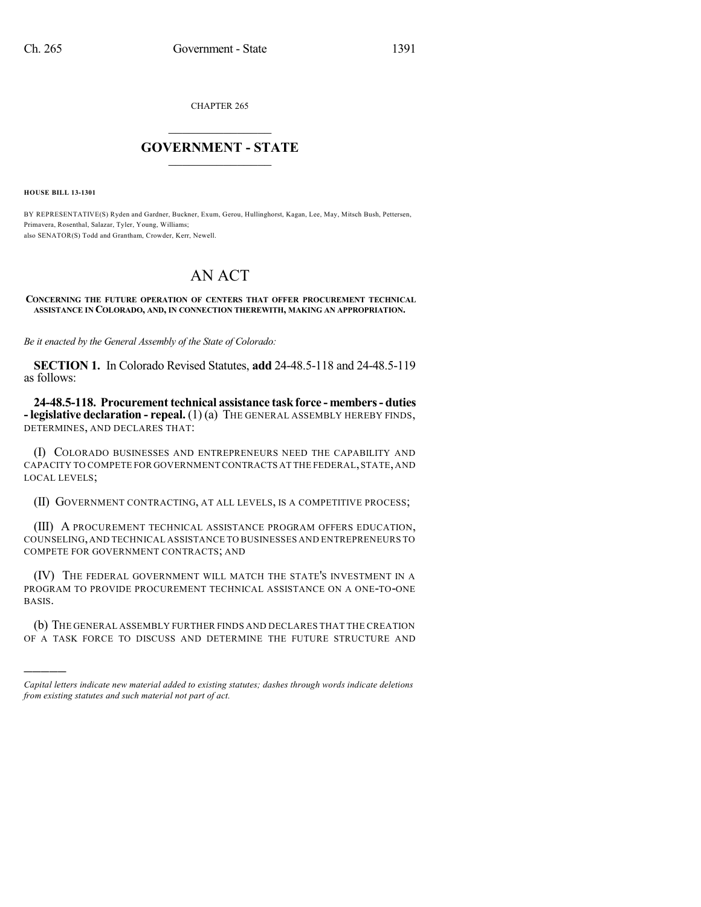CHAPTER 265

## $\mathcal{L}_\text{max}$  . The set of the set of the set of the set of the set of the set of the set of the set of the set of the set of the set of the set of the set of the set of the set of the set of the set of the set of the set **GOVERNMENT - STATE**  $\_$   $\_$

**HOUSE BILL 13-1301**

)))))

BY REPRESENTATIVE(S) Ryden and Gardner, Buckner, Exum, Gerou, Hullinghorst, Kagan, Lee, May, Mitsch Bush, Pettersen, Primavera, Rosenthal, Salazar, Tyler, Young, Williams; also SENATOR(S) Todd and Grantham, Crowder, Kerr, Newell.

## AN ACT

## **CONCERNING THE FUTURE OPERATION OF CENTERS THAT OFFER PROCUREMENT TECHNICAL ASSISTANCE IN COLORADO, AND, IN CONNECTION THEREWITH, MAKING AN APPROPRIATION.**

*Be it enacted by the General Assembly of the State of Colorado:*

**SECTION 1.** In Colorado Revised Statutes, **add** 24-48.5-118 and 24-48.5-119 as follows:

**24-48.5-118. Procurement technical assistance taskforce - members- duties - legislative declaration - repeal.** (1) (a) THE GENERAL ASSEMBLY HEREBY FINDS, DETERMINES, AND DECLARES THAT:

(I) COLORADO BUSINESSES AND ENTREPRENEURS NEED THE CAPABILITY AND CAPACITY TO COMPETE FOR GOVERNMENT CONTRACTS AT THE FEDERAL,STATE,AND LOCAL LEVELS;

(II) GOVERNMENT CONTRACTING, AT ALL LEVELS, IS A COMPETITIVE PROCESS;

(III) A PROCUREMENT TECHNICAL ASSISTANCE PROGRAM OFFERS EDUCATION, COUNSELING,AND TECHNICAL ASSISTANCE TO BUSINESSES AND ENTREPRENEURS TO COMPETE FOR GOVERNMENT CONTRACTS; AND

(IV) THE FEDERAL GOVERNMENT WILL MATCH THE STATE'S INVESTMENT IN A PROGRAM TO PROVIDE PROCUREMENT TECHNICAL ASSISTANCE ON A ONE-TO-ONE BASIS.

(b) THE GENERAL ASSEMBLY FURTHER FINDS AND DECLARES THAT THE CREATION OF A TASK FORCE TO DISCUSS AND DETERMINE THE FUTURE STRUCTURE AND

*Capital letters indicate new material added to existing statutes; dashes through words indicate deletions from existing statutes and such material not part of act.*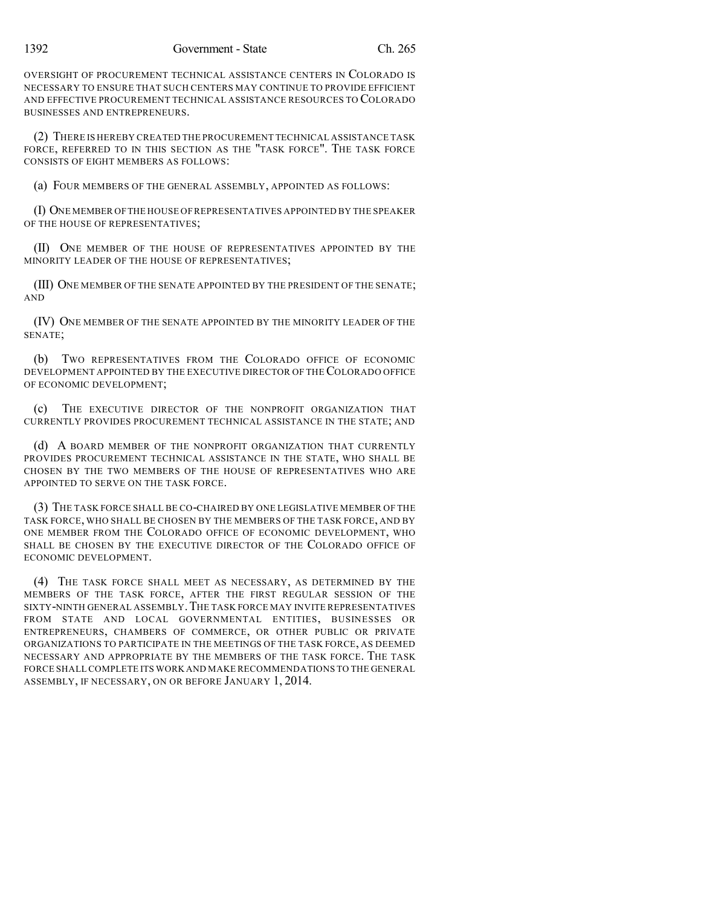OVERSIGHT OF PROCUREMENT TECHNICAL ASSISTANCE CENTERS IN COLORADO IS NECESSARY TO ENSURE THAT SUCH CENTERS MAY CONTINUE TO PROVIDE EFFICIENT AND EFFECTIVE PROCUREMENT TECHNICAL ASSISTANCE RESOURCES TO COLORADO BUSINESSES AND ENTREPRENEURS.

(2) THERE IS HEREBY CREATED THE PROCUREMENT TECHNICAL ASSISTANCE TASK FORCE, REFERRED TO IN THIS SECTION AS THE "TASK FORCE". THE TASK FORCE CONSISTS OF EIGHT MEMBERS AS FOLLOWS:

(a) FOUR MEMBERS OF THE GENERAL ASSEMBLY, APPOINTED AS FOLLOWS:

(I) ONE MEMBER OFTHE HOUSE OF REPRESENTATIVES APPOINTED BY THE SPEAKER OF THE HOUSE OF REPRESENTATIVES;

(II) ONE MEMBER OF THE HOUSE OF REPRESENTATIVES APPOINTED BY THE MINORITY LEADER OF THE HOUSE OF REPRESENTATIVES;

(III) ONE MEMBER OF THE SENATE APPOINTED BY THE PRESIDENT OF THE SENATE; AND

(IV) ONE MEMBER OF THE SENATE APPOINTED BY THE MINORITY LEADER OF THE SENATE;

(b) TWO REPRESENTATIVES FROM THE COLORADO OFFICE OF ECONOMIC DEVELOPMENT APPOINTED BY THE EXECUTIVE DIRECTOR OF THE COLORADO OFFICE OF ECONOMIC DEVELOPMENT;

(c) THE EXECUTIVE DIRECTOR OF THE NONPROFIT ORGANIZATION THAT CURRENTLY PROVIDES PROCUREMENT TECHNICAL ASSISTANCE IN THE STATE; AND

(d) A BOARD MEMBER OF THE NONPROFIT ORGANIZATION THAT CURRENTLY PROVIDES PROCUREMENT TECHNICAL ASSISTANCE IN THE STATE, WHO SHALL BE CHOSEN BY THE TWO MEMBERS OF THE HOUSE OF REPRESENTATIVES WHO ARE APPOINTED TO SERVE ON THE TASK FORCE.

(3) THE TASK FORCE SHALL BE CO-CHAIRED BY ONE LEGISLATIVE MEMBER OF THE TASK FORCE, WHO SHALL BE CHOSEN BY THE MEMBERS OF THE TASK FORCE, AND BY ONE MEMBER FROM THE COLORADO OFFICE OF ECONOMIC DEVELOPMENT, WHO SHALL BE CHOSEN BY THE EXECUTIVE DIRECTOR OF THE COLORADO OFFICE OF ECONOMIC DEVELOPMENT.

(4) THE TASK FORCE SHALL MEET AS NECESSARY, AS DETERMINED BY THE MEMBERS OF THE TASK FORCE, AFTER THE FIRST REGULAR SESSION OF THE SIXTY-NINTH GENERAL ASSEMBLY.THE TASK FORCE MAY INVITE REPRESENTATIVES FROM STATE AND LOCAL GOVERNMENTAL ENTITIES, BUSINESSES OR ENTREPRENEURS, CHAMBERS OF COMMERCE, OR OTHER PUBLIC OR PRIVATE ORGANIZATIONS TO PARTICIPATE IN THE MEETINGS OF THE TASK FORCE, AS DEEMED NECESSARY AND APPROPRIATE BY THE MEMBERS OF THE TASK FORCE. THE TASK FORCE SHALLCOMPLETE ITS WORK AND MAKE RECOMMENDATIONS TO THE GENERAL ASSEMBLY, IF NECESSARY, ON OR BEFORE JANUARY 1, 2014.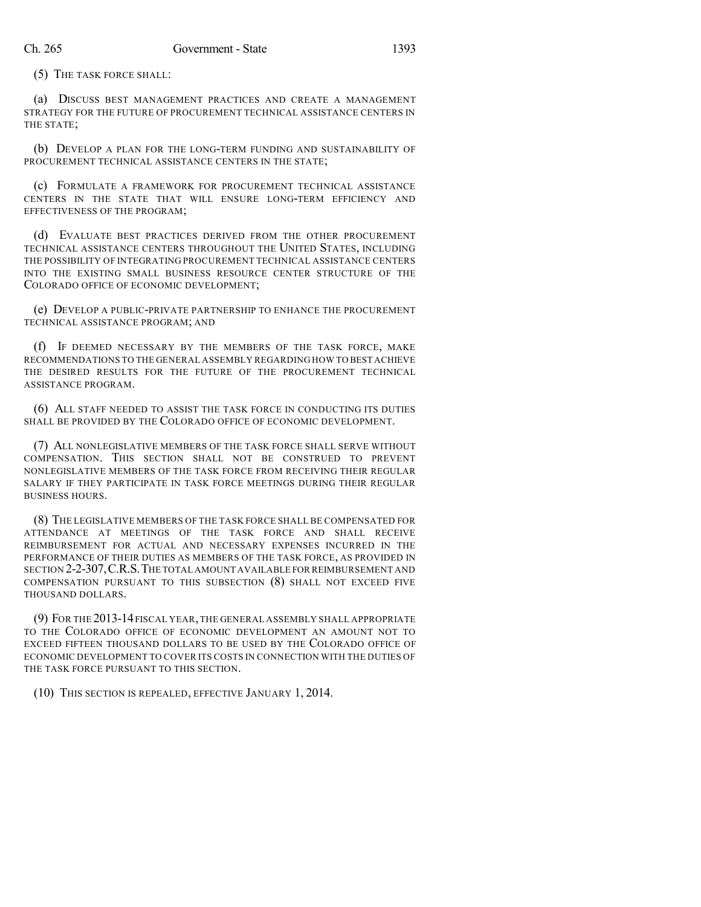(5) THE TASK FORCE SHALL:

(a) DISCUSS BEST MANAGEMENT PRACTICES AND CREATE A MANAGEMENT STRATEGY FOR THE FUTURE OF PROCUREMENT TECHNICAL ASSISTANCE CENTERS IN THE STATE;

(b) DEVELOP A PLAN FOR THE LONG-TERM FUNDING AND SUSTAINABILITY OF PROCUREMENT TECHNICAL ASSISTANCE CENTERS IN THE STATE;

(c) FORMULATE A FRAMEWORK FOR PROCUREMENT TECHNICAL ASSISTANCE CENTERS IN THE STATE THAT WILL ENSURE LONG-TERM EFFICIENCY AND EFFECTIVENESS OF THE PROGRAM;

(d) EVALUATE BEST PRACTICES DERIVED FROM THE OTHER PROCUREMENT TECHNICAL ASSISTANCE CENTERS THROUGHOUT THE UNITED STATES, INCLUDING THE POSSIBILITY OF INTEGRATING PROCUREMENT TECHNICAL ASSISTANCE CENTERS INTO THE EXISTING SMALL BUSINESS RESOURCE CENTER STRUCTURE OF THE COLORADO OFFICE OF ECONOMIC DEVELOPMENT;

(e) DEVELOP A PUBLIC-PRIVATE PARTNERSHIP TO ENHANCE THE PROCUREMENT TECHNICAL ASSISTANCE PROGRAM; AND

(f) IF DEEMED NECESSARY BY THE MEMBERS OF THE TASK FORCE, MAKE RECOMMENDATIONS TO THE GENERAL ASSEMBLY REGARDING HOW TO BEST ACHIEVE THE DESIRED RESULTS FOR THE FUTURE OF THE PROCUREMENT TECHNICAL ASSISTANCE PROGRAM.

(6) ALL STAFF NEEDED TO ASSIST THE TASK FORCE IN CONDUCTING ITS DUTIES SHALL BE PROVIDED BY THE COLORADO OFFICE OF ECONOMIC DEVELOPMENT.

(7) ALL NONLEGISLATIVE MEMBERS OF THE TASK FORCE SHALL SERVE WITHOUT COMPENSATION. THIS SECTION SHALL NOT BE CONSTRUED TO PREVENT NONLEGISLATIVE MEMBERS OF THE TASK FORCE FROM RECEIVING THEIR REGULAR SALARY IF THEY PARTICIPATE IN TASK FORCE MEETINGS DURING THEIR REGULAR BUSINESS HOURS.

(8) THE LEGISLATIVE MEMBERS OF THE TASK FORCE SHALL BE COMPENSATED FOR ATTENDANCE AT MEETINGS OF THE TASK FORCE AND SHALL RECEIVE REIMBURSEMENT FOR ACTUAL AND NECESSARY EXPENSES INCURRED IN THE PERFORMANCE OF THEIR DUTIES AS MEMBERS OF THE TASK FORCE, AS PROVIDED IN SECTION 2-2-307,C.R.S.THE TOTAL AMOUNT AVAILABLE FOR REIMBURSEMENT AND COMPENSATION PURSUANT TO THIS SUBSECTION (8) SHALL NOT EXCEED FIVE THOUSAND DOLLARS.

(9) FOR THE 2013-14FISCAL YEAR,THE GENERAL ASSEMBLY SHALL APPROPRIATE TO THE COLORADO OFFICE OF ECONOMIC DEVELOPMENT AN AMOUNT NOT TO EXCEED FIFTEEN THOUSAND DOLLARS TO BE USED BY THE COLORADO OFFICE OF ECONOMIC DEVELOPMENT TO COVER ITS COSTS IN CONNECTION WITH THE DUTIES OF THE TASK FORCE PURSUANT TO THIS SECTION.

(10) THIS SECTION IS REPEALED, EFFECTIVE JANUARY 1, 2014.